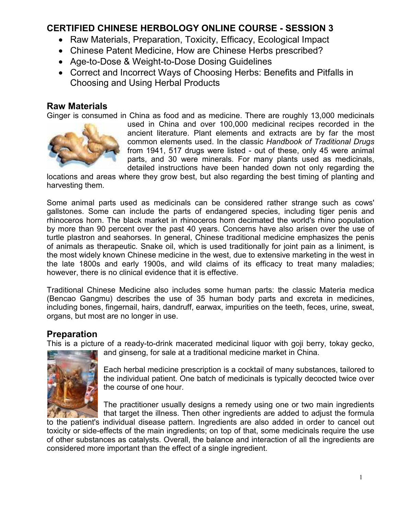# **CERTIFIED CHINESE HERBOLOGY ONLINE COURSE - SESSION 3**

- Raw Materials, Preparation, Toxicity, Efficacy, Ecological Impact
- Chinese Patent Medicine, How are Chinese Herbs prescribed?
- Age-to-Dose & Weight-to-Dose Dosing Guidelines
- Correct and Incorrect Ways of Choosing Herbs: Benefits and Pitfalls in Choosing and Using Herbal Products

## **Raw Materials**

Ginger is consumed in China as food and as medicine. There are roughly 13,000 medicinals



used in China and over 100,000 medicinal recipes recorded in the ancient literature. Plant elements and extracts are by far the most common elements used. In the classic *Handbook of Traditional Drugs* from 1941, 517 drugs were listed - out of these, only 45 were animal parts, and 30 were minerals. For many plants used as medicinals, detailed instructions have been handed down not only regarding the

locations and areas where they grow best, but also regarding the best timing of planting and harvesting them.

Some animal parts used as medicinals can be considered rather strange such as cows' gallstones. Some can include the parts of endangered species, including tiger penis and rhinoceros horn. The black market in rhinoceros horn decimated the world's rhino population by more than 90 percent over the past 40 years. Concerns have also arisen over the use of turtle plastron and seahorses. In general, Chinese traditional medicine emphasizes the penis of animals as therapeutic. Snake oil, which is used traditionally for joint pain as a liniment, is the most widely known Chinese medicine in the west, due to extensive marketing in the west in the late 1800s and early 1900s, and wild claims of its efficacy to treat many maladies; however, there is no clinical evidence that it is effective.

Traditional Chinese Medicine also includes some human parts: the classic Materia medica (Bencao Gangmu) describes the use of 35 human body parts and excreta in medicines, including bones, fingernail, hairs, dandruff, earwax, impurities on the teeth, feces, urine, sweat, organs, but most are no longer in use.

## **Preparation**

This is a picture of a ready-to-drink macerated medicinal liquor with goji berry, tokay gecko,



and ginseng, for sale at a traditional medicine market in China.

Each herbal medicine prescription is a cocktail of many substances, tailored to the individual patient. One batch of medicinals is typically decocted twice over the course of one hour.

The practitioner usually designs a remedy using one or two main ingredients that target the illness. Then other ingredients are added to adjust the formula

to the patient's individual disease pattern. Ingredients are also added in order to cancel out toxicity or side-effects of the main ingredients; on top of that, some medicinals require the use of other substances as catalysts. Overall, the balance and interaction of all the ingredients are considered more important than the effect of a single ingredient.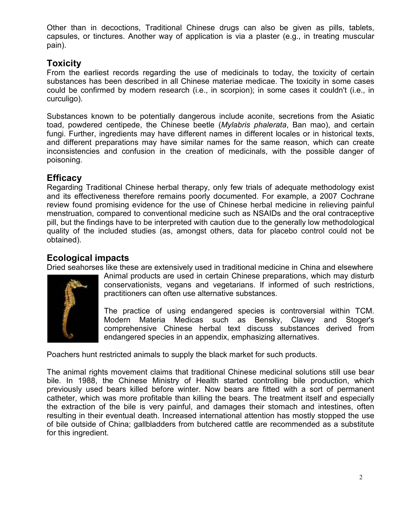Other than in decoctions, Traditional Chinese drugs can also be given as pills, tablets, capsules, or tinctures. Another way of application is via a plaster (e.g., in treating muscular pain).

# **Toxicity**

From the earliest records regarding the use of medicinals to today, the toxicity of certain substances has been described in all Chinese materiae medicae. The toxicity in some cases could be confirmed by modern research (i.e., in scorpion); in some cases it couldn't (i.e., in curculigo).

Substances known to be potentially dangerous include aconite, secretions from the Asiatic toad, powdered centipede, the Chinese beetle (*Mylabris phalerata*, Ban mao), and certain fungi. Further, ingredients may have different names in different locales or in historical texts, and different preparations may have similar names for the same reason, which can create inconsistencies and confusion in the creation of medicinals, with the possible danger of poisoning.

# **Efficacy**

Regarding Traditional Chinese herbal therapy, only few trials of adequate methodology exist and its effectiveness therefore remains poorly documented. For example, a 2007 Cochrane review found promising evidence for the use of Chinese herbal medicine in relieving painful menstruation, compared to conventional medicine such as NSAIDs and the oral contraceptive pill, but the findings have to be interpreted with caution due to the generally low methodological quality of the included studies (as, amongst others, data for placebo control could not be obtained).

## **Ecological impacts**

Dried seahorses like these are extensively used in traditional medicine in China and elsewhere



Animal products are used in certain Chinese preparations, which may disturb conservationists, vegans and vegetarians. If informed of such restrictions, practitioners can often use alternative substances.

The practice of using endangered species is controversial within TCM. Modern Materia Medicas such as Bensky, Clavey and Stoger's comprehensive Chinese herbal text discuss substances derived from endangered species in an appendix, emphasizing alternatives.

Poachers hunt restricted animals to supply the black market for such products.

The animal rights movement claims that traditional Chinese medicinal solutions still use bear bile. In 1988, the Chinese Ministry of Health started controlling bile production, which previously used bears killed before winter. Now bears are fitted with a sort of permanent catheter, which was more profitable than killing the bears. The treatment itself and especially the extraction of the bile is very painful, and damages their stomach and intestines, often resulting in their eventual death. Increased international attention has mostly stopped the use of bile outside of China; gallbladders from butchered cattle are recommended as a substitute for this ingredient.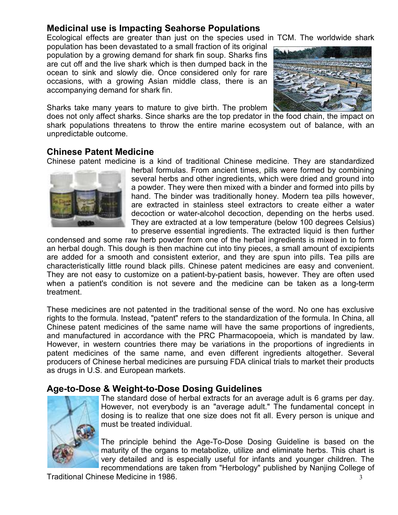## **Medicinal use is Impacting Seahorse Populations**

Ecological effects are greater than just on the species used in TCM. The worldwide shark

population has been devastated to a small fraction of its original population by a growing demand for shark fin soup. Sharks fins are cut off and the live shark which is then dumped back in the ocean to sink and slowly die. Once considered only for rare occasions, with a growing Asian middle class, there is an accompanying demand for shark fin.



Sharks take many years to mature to give birth. The problem

does not only affect sharks. Since sharks are the top predator in the food chain, the impact on shark populations threatens to throw the entire marine ecosystem out of balance, with an unpredictable outcome.

## **Chinese Patent Medicine**

Chinese patent medicine is a kind of traditional Chinese medicine. They are standardized



herbal formulas. From ancient times, pills were formed by combining several herbs and other ingredients, which were dried and ground into a powder. They were then mixed with a binder and formed into pills by hand. The binder was traditionally honey. Modern tea pills however, are extracted in stainless steel extractors to create either a water decoction or water-alcohol decoction, depending on the herbs used. They are extracted at a low temperature (below 100 degrees Celsius) to preserve essential ingredients. The extracted liquid is then further

condensed and some raw herb powder from one of the herbal ingredients is mixed in to form an herbal dough. This dough is then machine cut into tiny pieces, a small amount of excipients are added for a smooth and consistent exterior, and they are spun into pills. Tea pills are characteristically little round black pills. Chinese patent medicines are easy and convenient. They are not easy to customize on a patient-by-patient basis, however. They are often used when a patient's condition is not severe and the medicine can be taken as a long-term treatment.

These medicines are not patented in the traditional sense of the word. No one has exclusive rights to the formula. Instead, "patent" refers to the standardization of the formula. In China, all Chinese patent medicines of the same name will have the same proportions of ingredients, and manufactured in accordance with the PRC Pharmacopoeia, which is mandated by law. However, in western countries there may be variations in the proportions of ingredients in patent medicines of the same name, and even different ingredients altogether. Several producers of Chinese herbal medicines are pursuing FDA clinical trials to market their products as drugs in U.S. and European markets.

## **Age-to-Dose & Weight-to-Dose Dosing Guidelines**



The standard dose of herbal extracts for an average adult is 6 grams per day. However, not everybody is an "average adult." The fundamental concept in dosing is to realize that one size does not fit all. Every person is unique and must be treated individual.

The principle behind the Age-To-Dose Dosing Guideline is based on the maturity of the organs to metabolize, utilize and eliminate herbs. This chart is very detailed and is especially useful for infants and younger children. The recommendations are taken from "Herbology" published by Nanjing College of

Traditional Chinese Medicine in 1986.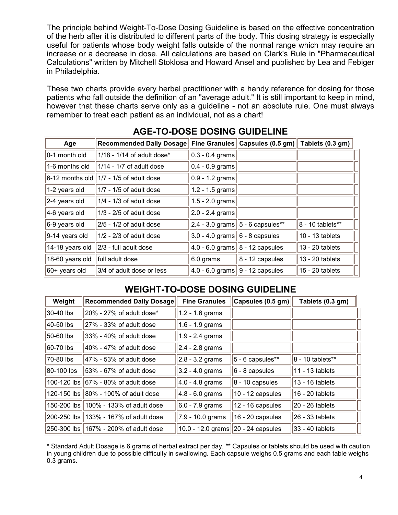The principle behind Weight-To-Dose Dosing Guideline is based on the effective concentration of the herb after it is distributed to different parts of the body. This dosing strategy is especially useful for patients whose body weight falls outside of the normal range which may require an increase or a decrease in dose. All calculations are based on Clark's Rule in "Pharmaceutical Calculations" written by Mitchell Stoklosa and Howard Ansel and published by Lea and Febiger in Philadelphia.

These two charts provide every herbal practitioner with a handy reference for dosing for those patients who fall outside the definition of an "average adult." It is still important to keep in mind, however that these charts serve only as a guideline - not an absolute rule. One must always remember to treat each patient as an individual, not as a chart!

| Age             | Recommended Daily Dosage Fine Granules Capsules (0.5 gm) Tablets (0.3 gm) |                                      |                                         |                   |
|-----------------|---------------------------------------------------------------------------|--------------------------------------|-----------------------------------------|-------------------|
| 0-1 month old   | $1/18 - 1/14$ of adult dose*                                              | $ 0.3 - 0.4$ grams                   |                                         |                   |
| 1-6 months old  | $1/14 - 1/7$ of adult dose                                                | $ 0.4 - 0.9$ grams                   |                                         |                   |
|                 | 6-12 months old $\ $ 1/7 - 1/5 of adult dose                              | $ 0.9 - 1.2$ grams                   |                                         |                   |
| 1-2 years old   | $1/7 - 1/5$ of adult dose                                                 | 1.2 - 1.5 grams                      |                                         |                   |
| 2-4 years old   | $1/4 - 1/3$ of adult dose                                                 | 1.5 - 2.0 grams                      |                                         |                   |
| 4-6 years old   | $1/3$ - 2/5 of adult dose                                                 | $2.0 - 2.4$ grams                    |                                         |                   |
| 6-9 years old   | $ 2/5 - 1/2$ of adult dose                                                |                                      | $2.4 - 3.0$ grams $   5 - 6$ capsules** | 8 - 10 tablets**  |
| 9-14 years old  | $1/2$ - 2/3 of adult dose                                                 | $3.0 - 4.0$ grams $\ 6 - 8$ capsules |                                         | $10 - 13$ tablets |
| 14-18 years old | 2/3 - full adult dose                                                     |                                      | $ 4.0 - 6.0$ grams $ 8 - 12$ capsules   | 13 - 20 tablets   |
| 18-60 years old | full adult dose                                                           | 6.0 grams                            | $ 8 - 12$ capsules                      | $13 - 20$ tablets |
| 60+ years old   | 3/4 of adult dose or less                                                 |                                      | 4.0 - 6.0 grams    9 - 12 capsules      | $15 - 20$ tablets |

# **AGE-TO-DOSE DOSING GUIDELINE**

# **WEIGHT-TO-DOSE DOSING GUIDELINE**

| Weight     | <b>Recommended Daily Dosage</b>         | <b>Fine Granules</b>                   | Capsules (0.5 gm) | Tablets (0.3 gm)  |
|------------|-----------------------------------------|----------------------------------------|-------------------|-------------------|
| 30-40 lbs  | 20% - 27% of adult dose*                | 1.2 - 1.6 grams                        |                   |                   |
| 40-50 lbs  | 27% - 33% of adult dose                 | 1.6 - 1.9 grams                        |                   |                   |
| 50-60 lbs  | 33% - 40% of adult dose                 | 1.9 - 2.4 grams                        |                   |                   |
| 60-70 lbs  | 40% - 47% of adult dose                 | 2.4 - 2.8 grams                        |                   |                   |
| 70-80 lbs  | 47% - 53% of adult dose                 | 2.8 - 3.2 grams                        | 5 - 6 capsules**  | 8 - 10 tablets**  |
| 80-100 lbs | 53% - 67% of adult dose                 | 3.2 - 4.0 grams                        | 6 - 8 capsules    | $11 - 13$ tablets |
|            | 100-120 lbs 67% - 80% of adult dose     | $4.0 - 4.8$ grams                      | $8 - 10$ capsules | $13 - 16$ tablets |
|            | 120-150 lbs   80% - 100% of adult dose  | $4.8 - 6.0$ grams                      | 10 - 12 capsules  | $16 - 20$ tablets |
|            | 150-200 lbs 100% - 133% of adult dose   | $6.0 - 7.9$ grams                      | 12 - 16 capsules  | 20 - 26 tablets   |
|            | 200-250 lbs 133% - 167% of adult dose   | 7.9 - 10.0 grams                       | 16 - 20 capsules  | 26 - 33 tablets   |
|            | 250-300 lbs   167% - 200% of adult dose | 10.0 - 12.0 grams $  20 - 24$ capsules |                   | 33 - 40 tablets   |

\* Standard Adult Dosage is 6 grams of herbal extract per day. \*\* Capsules or tablets should be used with caution in young children due to possible difficulty in swallowing. Each capsule weighs 0.5 grams and each table weighs 0.3 grams.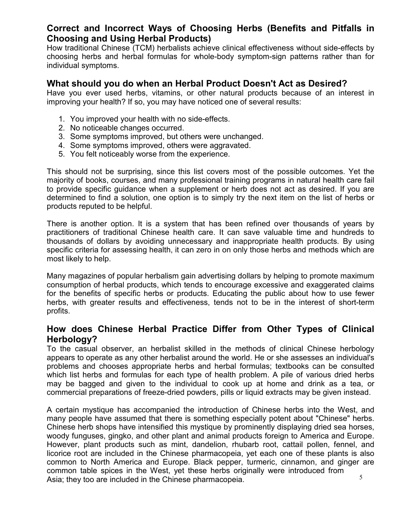## **Correct and Incorrect Ways of Choosing Herbs (Benefits and Pitfalls in Choosing and Using Herbal Products)**

How traditional Chinese (TCM) herbalists achieve clinical effectiveness without side-effects by choosing herbs and herbal formulas for whole-body symptom-sign patterns rather than for individual symptoms.

### **What should you do when an Herbal Product Doesn't Act as Desired?**

Have you ever used herbs, vitamins, or other natural products because of an interest in improving your health? If so, you may have noticed one of several results:

- 1. You improved your health with no side-effects.
- 2. No noticeable changes occurred.
- 3. Some symptoms improved, but others were unchanged.
- 4. Some symptoms improved, others were aggravated.
- 5. You felt noticeably worse from the experience.

This should not be surprising, since this list covers most of the possible outcomes. Yet the majority of books, courses, and many professional training programs in natural health care fail to provide specific guidance when a supplement or herb does not act as desired. If you are determined to find a solution, one option is to simply try the next item on the list of herbs or products reputed to be helpful.

There is another option. It is a system that has been refined over thousands of years by practitioners of traditional Chinese health care. It can save valuable time and hundreds to thousands of dollars by avoiding unnecessary and inappropriate health products. By using specific criteria for assessing health, it can zero in on only those herbs and methods which are most likely to help.

Many magazines of popular herbalism gain advertising dollars by helping to promote maximum consumption of herbal products, which tends to encourage excessive and exaggerated claims for the benefits of specific herbs or products. Educating the public about how to use fewer herbs, with greater results and effectiveness, tends not to be in the interest of short-term profits.

### **How does Chinese Herbal Practice Differ from Other Types of Clinical Herbology?**

To the casual observer, an herbalist skilled in the methods of clinical Chinese herbology appears to operate as any other herbalist around the world. He or she assesses an individual's problems and chooses appropriate herbs and herbal formulas; textbooks can be consulted which list herbs and formulas for each type of health problem. A pile of various dried herbs may be bagged and given to the individual to cook up at home and drink as a tea, or commercial preparations of freeze-dried powders, pills or liquid extracts may be given instead.

5 A certain mystique has accompanied the introduction of Chinese herbs into the West, and many people have assumed that there is something especially potent about "Chinese" herbs. Chinese herb shops have intensified this mystique by prominently displaying dried sea horses, woody funguses, gingko, and other plant and animal products foreign to America and Europe. However, plant products such as mint, dandelion, rhubarb root, cattail pollen, fennel, and licorice root are included in the Chinese pharmacopeia, yet each one of these plants is also common to North America and Europe. Black pepper, turmeric, cinnamon, and ginger are common table spices in the West, yet these herbs originally were introduced from Asia; they too are included in the Chinese pharmacopeia.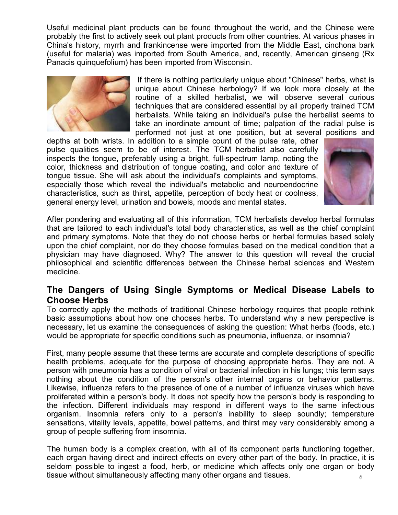Useful medicinal plant products can be found throughout the world, and the Chinese were probably the first to actively seek out plant products from other countries. At various phases in China's history, myrrh and frankincense were imported from the Middle East, cinchona bark (useful for malaria) was imported from South America, and, recently, American ginseng (Rx Panacis quinquefolium) has been imported from Wisconsin.



 If there is nothing particularly unique about "Chinese" herbs, what is unique about Chinese herbology? If we look more closely at the routine of a skilled herbalist, we will observe several curious techniques that are considered essential by all properly trained TCM herbalists. While taking an individual's pulse the herbalist seems to take an inordinate amount of time; palpation of the radial pulse is performed not just at one position, but at several positions and

depths at both wrists. In addition to a simple count of the pulse rate, other pulse qualities seem to be of interest. The TCM herbalist also carefully inspects the tongue, preferably using a bright, full-spectrum lamp, noting the color, thickness and distribution of tongue coating, and color and texture of tongue tissue. She will ask about the individual's complaints and symptoms, especially those which reveal the individual's metabolic and neuroendocrine characteristics, such as thirst, appetite, perception of body heat or coolness, general energy level, urination and bowels, moods and mental states.



After pondering and evaluating all of this information, TCM herbalists develop herbal formulas that are tailored to each individual's total body characteristics, as well as the chief complaint and primary symptoms. Note that they do not choose herbs or herbal formulas based solely upon the chief complaint, nor do they choose formulas based on the medical condition that a physician may have diagnosed. Why? The answer to this question will reveal the crucial philosophical and scientific differences between the Chinese herbal sciences and Western medicine.

### **The Dangers of Using Single Symptoms or Medical Disease Labels to Choose Herbs**

To correctly apply the methods of traditional Chinese herbology requires that people rethink basic assumptions about how one chooses herbs. To understand why a new perspective is necessary, let us examine the consequences of asking the question: What herbs (foods, etc.) would be appropriate for specific conditions such as pneumonia, influenza, or insomnia?

First, many people assume that these terms are accurate and complete descriptions of specific health problems, adequate for the purpose of choosing appropriate herbs. They are not. A person with pneumonia has a condition of viral or bacterial infection in his lungs; this term says nothing about the condition of the person's other internal organs or behavior patterns. Likewise, influenza refers to the presence of one of a number of influenza viruses which have proliferated within a person's body. It does not specify how the person's body is responding to the infection. Different individuals may respond in different ways to the same infectious organism. Insomnia refers only to a person's inability to sleep soundly; temperature sensations, vitality levels, appetite, bowel patterns, and thirst may vary considerably among a group of people suffering from insomnia.

6 The human body is a complex creation, with all of its component parts functioning together, each organ having direct and indirect effects on every other part of the body. In practice, it is seldom possible to ingest a food, herb, or medicine which affects only one organ or body tissue without simultaneously affecting many other organs and tissues.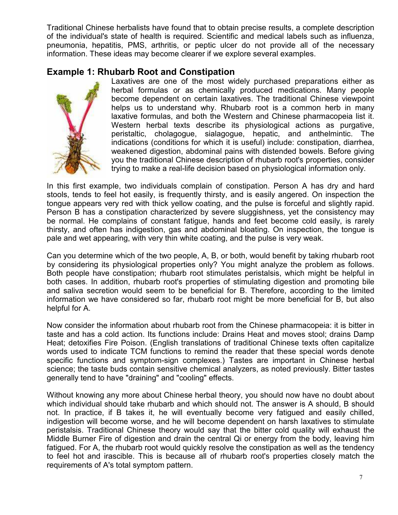Traditional Chinese herbalists have found that to obtain precise results, a complete description of the individual's state of health is required. Scientific and medical labels such as influenza, pneumonia, hepatitis, PMS, arthritis, or peptic ulcer do not provide all of the necessary information. These ideas may become clearer if we explore several examples.

## **Example 1: Rhubarb Root and Constipation**



Laxatives are one of the most widely purchased preparations either as herbal formulas or as chemically produced medications. Many people become dependent on certain laxatives. The traditional Chinese viewpoint helps us to understand why. Rhubarb root is a common herb in many laxative formulas, and both the Western and Chinese pharmacopeia list it. Western herbal texts describe its physiological actions as purgative, peristaltic, cholagogue, sialagogue, hepatic, and anthelmintic. The indications (conditions for which it is useful) include: constipation, diarrhea, weakened digestion, abdominal pains with distended bowels. Before giving you the traditional Chinese description of rhubarb root's properties, consider trying to make a real-life decision based on physiological information only.

In this first example, two individuals complain of constipation. Person A has dry and hard stools, tends to feel hot easily, is frequently thirsty, and is easily angered. On inspection the tongue appears very red with thick yellow coating, and the pulse is forceful and slightly rapid. Person B has a constipation characterized by severe sluggishness, yet the consistency may be normal. He complains of constant fatigue, hands and feet become cold easily, is rarely thirsty, and often has indigestion, gas and abdominal bloating. On inspection, the tongue is pale and wet appearing, with very thin white coating, and the pulse is very weak.

Can you determine which of the two people, A, B, or both, would benefit by taking rhubarb root by considering its physiological properties only? You might analyze the problem as follows. Both people have constipation; rhubarb root stimulates peristalsis, which might be helpful in both cases. In addition, rhubarb root's properties of stimulating digestion and promoting bile and saliva secretion would seem to be beneficial for B. Therefore, according to the limited information we have considered so far, rhubarb root might be more beneficial for B, but also helpful for A.

Now consider the information about rhubarb root from the Chinese pharmacopeia: it is bitter in taste and has a cold action. Its functions include: Drains Heat and moves stool; drains Damp Heat; detoxifies Fire Poison. (English translations of traditional Chinese texts often capitalize words used to indicate TCM functions to remind the reader that these special words denote specific functions and symptom-sign complexes.) Tastes are important in Chinese herbal science; the taste buds contain sensitive chemical analyzers, as noted previously. Bitter tastes generally tend to have "draining" and "cooling" effects.

Without knowing any more about Chinese herbal theory, you should now have no doubt about which individual should take rhubarb and which should not. The answer is A should, B should not. In practice, if B takes it, he will eventually become very fatigued and easily chilled, indigestion will become worse, and he will become dependent on harsh laxatives to stimulate peristalsis. Traditional Chinese theory would say that the bitter cold quality will exhaust the Middle Burner Fire of digestion and drain the central Qi or energy from the body, leaving him fatigued. For A, the rhubarb root would quickly resolve the constipation as well as the tendency to feel hot and irascible. This is because all of rhubarb root's properties closely match the requirements of A's total symptom pattern.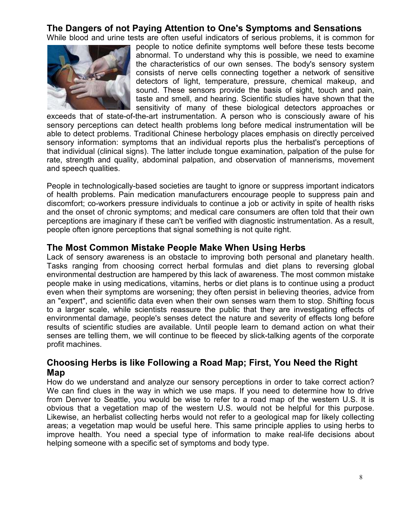## **The Dangers of not Paying Attention to One's Symptoms and Sensations**

While blood and urine tests are often useful indicators of serious problems, it is common for



people to notice definite symptoms well before these tests become abnormal. To understand why this is possible, we need to examine the characteristics of our own senses. The body's sensory system consists of nerve cells connecting together a network of sensitive detectors of light, temperature, pressure, chemical makeup, and sound. These sensors provide the basis of sight, touch and pain, taste and smell, and hearing. Scientific studies have shown that the sensitivity of many of these biological detectors approaches or

exceeds that of state-of-the-art instrumentation. A person who is consciously aware of his sensory perceptions can detect health problems long before medical instrumentation will be able to detect problems. Traditional Chinese herbology places emphasis on directly perceived sensory information: symptoms that an individual reports plus the herbalist's perceptions of that individual (clinical signs). The latter include tongue examination, palpation of the pulse for rate, strength and quality, abdominal palpation, and observation of mannerisms, movement and speech qualities.

People in technologically-based societies are taught to ignore or suppress important indicators of health problems. Pain medication manufacturers encourage people to suppress pain and discomfort; co-workers pressure individuals to continue a job or activity in spite of health risks and the onset of chronic symptoms; and medical care consumers are often told that their own perceptions are imaginary if these can't be verified with diagnostic instrumentation. As a result, people often ignore perceptions that signal something is not quite right.

### **The Most Common Mistake People Make When Using Herbs**

Lack of sensory awareness is an obstacle to improving both personal and planetary health. Tasks ranging from choosing correct herbal formulas and diet plans to reversing global environmental destruction are hampered by this lack of awareness. The most common mistake people make in using medications, vitamins, herbs or diet plans is to continue using a product even when their symptoms are worsening; they often persist in believing theories, advice from an "expert", and scientific data even when their own senses warn them to stop. Shifting focus to a larger scale, while scientists reassure the public that they are investigating effects of environmental damage, people's senses detect the nature and severity of effects long before results of scientific studies are available. Until people learn to demand action on what their senses are telling them, we will continue to be fleeced by slick-talking agents of the corporate profit machines.

## **Choosing Herbs is like Following a Road Map; First, You Need the Right Map**

How do we understand and analyze our sensory perceptions in order to take correct action? We can find clues in the way in which we use maps. If you need to determine how to drive from Denver to Seattle, you would be wise to refer to a road map of the western U.S. It is obvious that a vegetation map of the western U.S. would not be helpful for this purpose. Likewise, an herbalist collecting herbs would not refer to a geological map for likely collecting areas; a vegetation map would be useful here. This same principle applies to using herbs to improve health. You need a special type of information to make real-life decisions about helping someone with a specific set of symptoms and body type.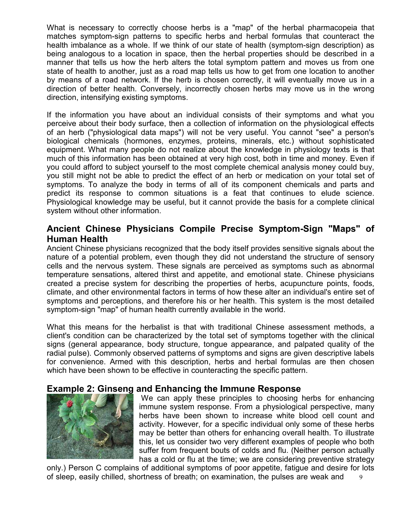What is necessary to correctly choose herbs is a "map" of the herbal pharmacopeia that matches symptom-sign patterns to specific herbs and herbal formulas that counteract the health imbalance as a whole. If we think of our state of health (symptom-sign description) as being analogous to a location in space, then the herbal properties should be described in a manner that tells us how the herb alters the total symptom pattern and moves us from one state of health to another, just as a road map tells us how to get from one location to another by means of a road network. If the herb is chosen correctly, it will eventually move us in a direction of better health. Conversely, incorrectly chosen herbs may move us in the wrong direction, intensifying existing symptoms.

If the information you have about an individual consists of their symptoms and what you perceive about their body surface, then a collection of information on the physiological effects of an herb ("physiological data maps") will not be very useful. You cannot "see" a person's biological chemicals (hormones, enzymes, proteins, minerals, etc.) without sophisticated equipment. What many people do not realize about the knowledge in physiology texts is that much of this information has been obtained at very high cost, both in time and money. Even if you could afford to subject yourself to the most complete chemical analysis money could buy, you still might not be able to predict the effect of an herb or medication on your total set of symptoms. To analyze the body in terms of all of its component chemicals and parts and predict its response to common situations is a feat that continues to elude science. Physiological knowledge may be useful, but it cannot provide the basis for a complete clinical system without other information.

## **Ancient Chinese Physicians Compile Precise Symptom-Sign "Maps" of Human Health**

Ancient Chinese physicians recognized that the body itself provides sensitive signals about the nature of a potential problem, even though they did not understand the structure of sensory cells and the nervous system. These signals are perceived as symptoms such as abnormal temperature sensations, altered thirst and appetite, and emotional state. Chinese physicians created a precise system for describing the properties of herbs, acupuncture points, foods, climate, and other environmental factors in terms of how these alter an individual's entire set of symptoms and perceptions, and therefore his or her health. This system is the most detailed symptom-sign "map" of human health currently available in the world.

What this means for the herbalist is that with traditional Chinese assessment methods, a client's condition can be characterized by the total set of symptoms together with the clinical signs (general appearance, body structure, tongue appearance, and palpated quality of the radial pulse). Commonly observed patterns of symptoms and signs are given descriptive labels for convenience. Armed with this description, herbs and herbal formulas are then chosen which have been shown to be effective in counteracting the specific pattern.

## **Example 2: Ginseng and Enhancing the Immune Response**



 We can apply these principles to choosing herbs for enhancing immune system response. From a physiological perspective, many herbs have been shown to increase white blood cell count and activity. However, for a specific individual only some of these herbs may be better than others for enhancing overall health. To illustrate this, let us consider two very different examples of people who both suffer from frequent bouts of colds and flu. (Neither person actually has a cold or flu at the time; we are considering preventive strategy

9 only.) Person C complains of additional symptoms of poor appetite, fatigue and desire for lots of sleep, easily chilled, shortness of breath; on examination, the pulses are weak and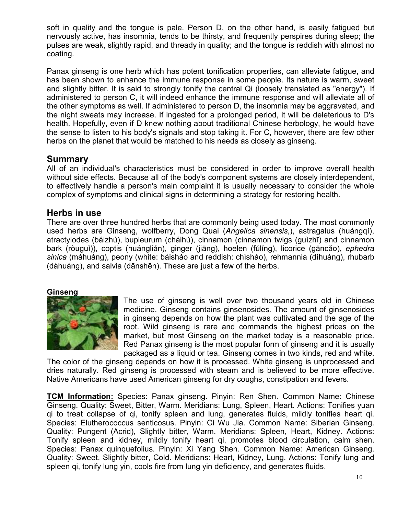soft in quality and the tongue is pale. Person D, on the other hand, is easily fatigued but nervously active, has insomnia, tends to be thirsty, and frequently perspires during sleep; the pulses are weak, slightly rapid, and thready in quality; and the tongue is reddish with almost no coating.

Panax ginseng is one herb which has potent tonification properties, can alleviate fatigue, and has been shown to enhance the immune response in some people. Its nature is warm, sweet and slightly bitter. It is said to strongly tonify the central Qi (loosely translated as "energy"). If administered to person C, it will indeed enhance the immune response and will alleviate all of the other symptoms as well. If administered to person D, the insomnia may be aggravated, and the night sweats may increase. If ingested for a prolonged period, it will be deleterious to D's health. Hopefully, even if D knew nothing about traditional Chinese herbology, he would have the sense to listen to his body's signals and stop taking it. For C, however, there are few other herbs on the planet that would be matched to his needs as closely as ginseng.

### **Summary**

All of an individual's characteristics must be considered in order to improve overall health without side effects. Because all of the body's component systems are closely interdependent, to effectively handle a person's main complaint it is usually necessary to consider the whole complex of symptoms and clinical signs in determining a strategy for restoring health.

### **Herbs in use**

There are over three hundred herbs that are commonly being used today. The most commonly used herbs are Ginseng, wolfberry, Dong Quai (*Angelica sinensis*,), astragalus (huángqí), atractylodes (báizhú), bupleurum (cháihú), cinnamon (cinnamon twigs (guìzhī) and cinnamon bark (ròuguì)), coptis (huánglián), ginger (jiāng), hoelen (fúlíng), licorice (gāncǎo), *ephedra sinica* (máhuáng), peony (white: báisháo and reddish: chìsháo), rehmannia (dìhuáng), rhubarb (dàhuáng), and salvia (dānshēn). These are just a few of the herbs.

#### **Ginseng**



The use of ginseng is well over two thousand years old in Chinese medicine. Ginseng contains ginsenosides. The amount of ginsenosides in ginseng depends on how the plant was cultivated and the age of the root. Wild ginseng is rare and commands the highest prices on the market, but most Ginseng on the market today is a reasonable price. Red Panax ginseng is the most popular form of ginseng and it is usually packaged as a liquid or tea. Ginseng comes in two kinds, red and white.

The color of the ginseng depends on how it is processed. White ginseng is unprocessed and dries naturally. Red ginseng is processed with steam and is believed to be more effective. Native Americans have used American ginseng for dry coughs, constipation and fevers.

**TCM Information:** Species: Panax ginseng. Pinyin: Ren Shen. Common Name: Chinese Ginseng. Quality: Sweet, Bitter, Warm. Meridians: Lung, Spleen, Heart. Actions: Tonifies yuan qi to treat collapse of qi, tonify spleen and lung, generates fluids, mildly tonifies heart qi. Species: Elutherococcus senticosus. Pinyin: Ci Wu Jia. Common Name: Siberian Ginseng. Quality: Pungent (Acrid), Slightly bitter, Warm. Meridians: Spleen, Heart, Kidney. Actions: Tonify spleen and kidney, mildly tonify heart qi, promotes blood circulation, calm shen. Species: Panax quinquefolius. Pinyin: Xi Yang Shen. Common Name: American Ginseng. Quality: Sweet, Slightly bitter, Cold. Meridians: Heart, Kidney, Lung. Actions: Tonify lung and spleen qi, tonify lung yin, cools fire from lung yin deficiency, and generates fluids.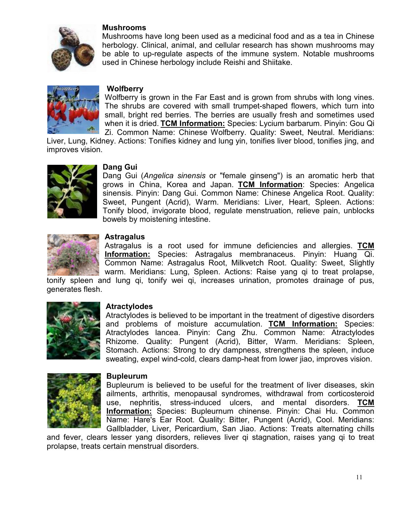

#### **Mushrooms**

Mushrooms have long been used as a medicinal food and as a tea in Chinese herbology. Clinical, animal, and cellular research has shown mushrooms may be able to up-regulate aspects of the immune system. Notable mushrooms used in Chinese herbology include Reishi and Shiitake.



### **Wolfberry**

Wolfberry is grown in the Far East and is grown from shrubs with long vines. The shrubs are covered with small trumpet-shaped flowers, which turn into small, bright red berries. The berries are usually fresh and sometimes used when it is dried. **TCM Information:** Species: Lycium barbarum. Pinyin: Gou Qi Zi. Common Name: Chinese Wolfberry. Quality: Sweet, Neutral. Meridians:

Liver, Lung, Kidney. Actions: Tonifies kidney and lung yin, tonifies liver blood, tonifies jing, and improves vision.



### **Dang Gui**

Dang Gui (*Angelica sinensis* or "female ginseng") is an aromatic herb that grows in China, Korea and Japan. **TCM Information**: Species: Angelica sinensis. Pinyin: Dang Gui. Common Name: Chinese Angelica Root. Quality: Sweet, Pungent (Acrid), Warm. Meridians: Liver, Heart, Spleen. Actions: Tonify blood, invigorate blood, regulate menstruation, relieve pain, unblocks bowels by moistening intestine.



### **Astragalus**

Astragalus is a root used for immune deficiencies and allergies. **TCM Information:** Species: Astragalus membranaceus. Pinyin: Huang Qi. Common Name: Astragalus Root, Milkvetch Root. Quality: Sweet, Slightly warm. Meridians: Lung, Spleen. Actions: Raise yang qi to treat prolapse,

tonify spleen and lung qi, tonify wei qi, increases urination, promotes drainage of pus, generates flesh.



### **Atractylodes**

Atractylodes is believed to be important in the treatment of digestive disorders and problems of moisture accumulation. **TCM Information:** Species: Atractylodes lancea. Pinyin: Cang Zhu. Common Name: Atractylodes Rhizome. Quality: Pungent (Acrid), Bitter, Warm. Meridians: Spleen, Stomach. Actions: Strong to dry dampness, strengthens the spleen, induce sweating, expel wind-cold, clears damp-heat from lower jiao, improves vision.



#### **Bupleurum**

Bupleurum is believed to be useful for the treatment of liver diseases, skin ailments, arthritis, menopausal syndromes, withdrawal from corticosteroid use, nephritis, stress-induced ulcers, and mental disorders. **TCM Information:** Species: Bupleurnum chinense. Pinyin: Chai Hu. Common Name: Hare's Ear Root. Quality: Bitter, Pungent (Acrid), Cool. Meridians: Gallbladder, Liver, Pericardium, San Jiao. Actions: Treats alternating chills

and fever, clears lesser yang disorders, relieves liver qi stagnation, raises yang qi to treat prolapse, treats certain menstrual disorders.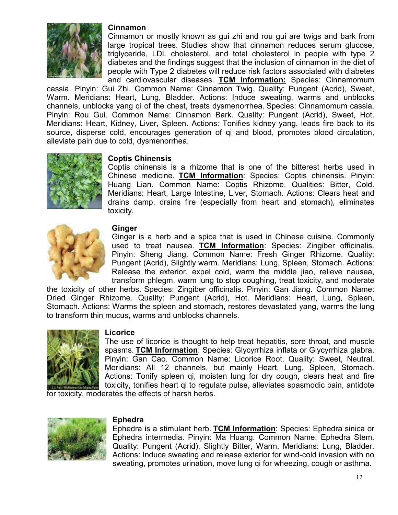### **Cinnamon**



Cinnamon or mostly known as gui zhi and rou gui are twigs and bark from large tropical trees. Studies show that cinnamon reduces serum glucose, triglyceride, LDL cholesterol, and total cholesterol in people with type 2 diabetes and the findings suggest that the inclusion of cinnamon in the diet of people with Type 2 diabetes will reduce risk factors associated with diabetes and cardiovascular diseases. **TCM Information:** Species: Cinnamomum

cassia. Pinyin: Gui Zhi. Common Name: Cinnamon Twig. Quality: Pungent (Acrid), Sweet, Warm. Meridians: Heart, Lung, Bladder. Actions: Induce sweating, warms and unblocks channels, unblocks yang qi of the chest, treats dysmenorrhea. Species: Cinnamomum cassia. Pinyin: Rou Gui. Common Name: Cinnamon Bark. Quality: Pungent (Acrid), Sweet, Hot. Meridians: Heart, Kidney, Liver, Spleen. Actions: Tonifies kidney yang, leads fire back to its source, disperse cold, encourages generation of qi and blood, promotes blood circulation, alleviate pain due to cold, dysmenorrhea.



### **Coptis Chinensis**

Coptis chinensis is a rhizome that is one of the bitterest herbs used in Chinese medicine. **TCM Information**: Species: Coptis chinensis. Pinyin: Huang Lian. Common Name: Coptis Rhizome. Qualities: Bitter, Cold. Meridians: Heart, Large Intestine, Liver, Stomach. Actions: Clears heat and drains damp, drains fire (especially from heart and stomach), eliminates toxicity.



#### **Ginger**

Ginger is a herb and a spice that is used in Chinese cuisine. Commonly used to treat nausea. **TCM Information**: Species: Zingiber officinalis. Pinyin: Sheng Jiang. Common Name: Fresh Ginger Rhizome. Quality: Pungent (Acrid), Slightly warm. Meridians: Lung, Spleen, Stomach. Actions: Release the exterior, expel cold, warm the middle jiao, relieve nausea, transform phlegm, warm lung to stop coughing, treat toxicity, and moderate

the toxicity of other herbs. Species: Zingiber officinalis. Pinyin: Gan Jiang. Common Name: Dried Ginger Rhizome. Quality: Pungent (Acrid), Hot. Meridians: Heart, Lung, Spleen, Stomach. Actions: Warms the spleen and stomach, restores devastated yang, warms the lung to transform thin mucus, warms and unblocks channels.



#### **Licorice**

The use of licorice is thought to help treat hepatitis, sore throat, and muscle spasms. **TCM Information**: Species: Glycyrrhiza inflata or Glycyrrhiza glabra. Pinyin: Gan Cao. Common Name: Licorice Root. Quality: Sweet, Neutral. Meridians: All 12 channels, but mainly Heart, Lung, Spleen, Stomach. Actions: Tonify spleen qi, moisten lung for dry cough, clears heat and fire toxicity, tonifies heart qi to regulate pulse, alleviates spasmodic pain, antidote

for toxicity, moderates the effects of harsh herbs.



#### **Ephedra**

Ephedra is a stimulant herb. **TCM Information**: Species: Ephedra sinica or Ephedra intermedia. Pinyin: Ma Huang. Common Name: Ephedra Stem. Quality: Pungent (Acrid), Slightly Bitter, Warm. Meridians: Lung, Bladder. Actions: Induce sweating and release exterior for wind-cold invasion with no sweating, promotes urination, move lung qi for wheezing, cough or asthma.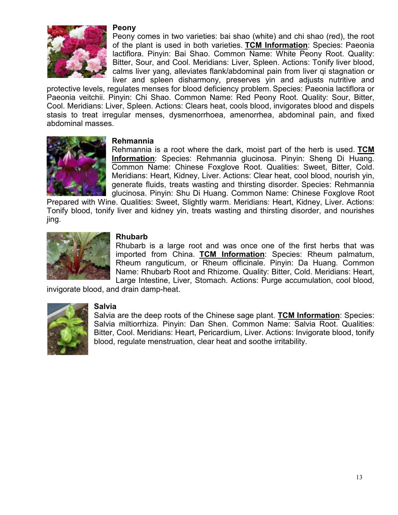#### **Peony**



Peony comes in two varieties: bai shao (white) and chi shao (red), the root of the plant is used in both varieties. **TCM Information**: Species: Paeonia lactiflora. Pinyin: Bai Shao. Common Name: White Peony Root. Quality: Bitter, Sour, and Cool. Meridians: Liver, Spleen. Actions: Tonify liver blood, calms liver yang, alleviates flank/abdominal pain from liver qi stagnation or liver and spleen disharmony, preserves yin and adjusts nutritive and

protective levels, regulates menses for blood deficiency problem. Species: Paeonia lactiflora or Paeonia veitchii. Pinyin: Chi Shao. Common Name: Red Peony Root. Quality: Sour, Bitter, Cool. Meridians: Liver, Spleen. Actions: Clears heat, cools blood, invigorates blood and dispels stasis to treat irregular menses, dysmenorrhoea, amenorrhea, abdominal pain, and fixed abdominal masses.



#### **Rehmannia**

Rehmannia is a root where the dark, moist part of the herb is used. **TCM Information**: Species: Rehmannia glucinosa. Pinyin: Sheng Di Huang. Common Name: Chinese Foxglove Root. Qualities: Sweet, Bitter, Cold. Meridians: Heart, Kidney, Liver. Actions: Clear heat, cool blood, nourish yin, generate fluids, treats wasting and thirsting disorder. Species: Rehmannia glucinosa. Pinyin: Shu Di Huang. Common Name: Chinese Foxglove Root

Prepared with Wine. Qualities: Sweet, Slightly warm. Meridians: Heart, Kidney, Liver. Actions: Tonify blood, tonify liver and kidney yin, treats wasting and thirsting disorder, and nourishes jing.



#### **Rhubarb**

Rhubarb is a large root and was once one of the first herbs that was imported from China. **TCM Information**: Species: Rheum palmatum, Rheum ranguticum, or Rheum officinale. Pinyin: Da Huang. Common Name: Rhubarb Root and Rhizome. Quality: Bitter, Cold. Meridians: Heart, Large Intestine, Liver, Stomach. Actions: Purge accumulation, cool blood,

invigorate blood, and drain damp-heat.



#### **Salvia**

Salvia are the deep roots of the Chinese sage plant. **TCM Information**: Species: Salvia miltiorrhiza. Pinyin: Dan Shen. Common Name: Salvia Root. Qualities: Bitter, Cool. Meridians: Heart, Pericardium, Liver. Actions: Invigorate blood, tonify blood, regulate menstruation, clear heat and soothe irritability.